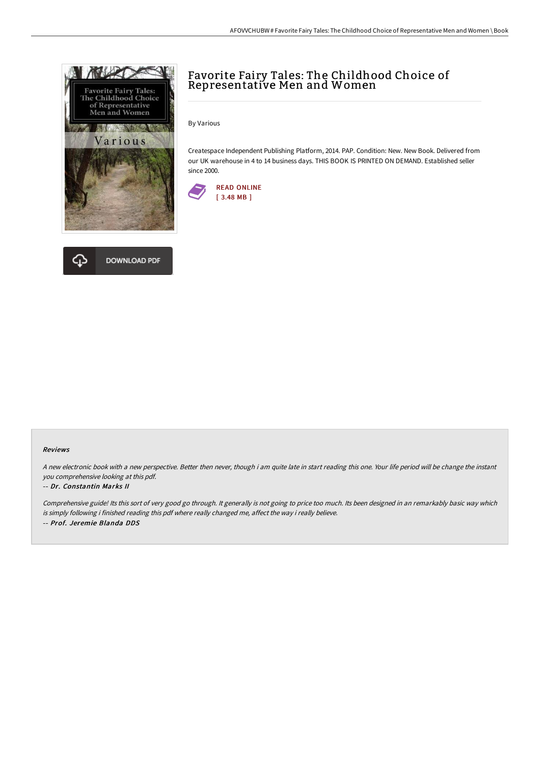

# **DOWNLOAD PDF**

## Favorite Fairy Tales: The Childhood Choice of Representative Men and Women

By Various

Createspace Independent Publishing Platform, 2014. PAP. Condition: New. New Book. Delivered from our UK warehouse in 4 to 14 business days. THIS BOOK IS PRINTED ON DEMAND. Established seller since 2000.



#### Reviews

<sup>A</sup> new electronic book with <sup>a</sup> new perspective. Better then never, though i am quite late in start reading this one. Your life period will be change the instant you comprehensive looking at this pdf.

#### -- Dr. Constantin Marks II

Comprehensive guide! Its this sort of very good go through. It generally is not going to price too much. Its been designed in an remarkably basic way which is simply following i finished reading this pdf where really changed me, affect the way i really believe. -- Prof. Jeremie Blanda DDS